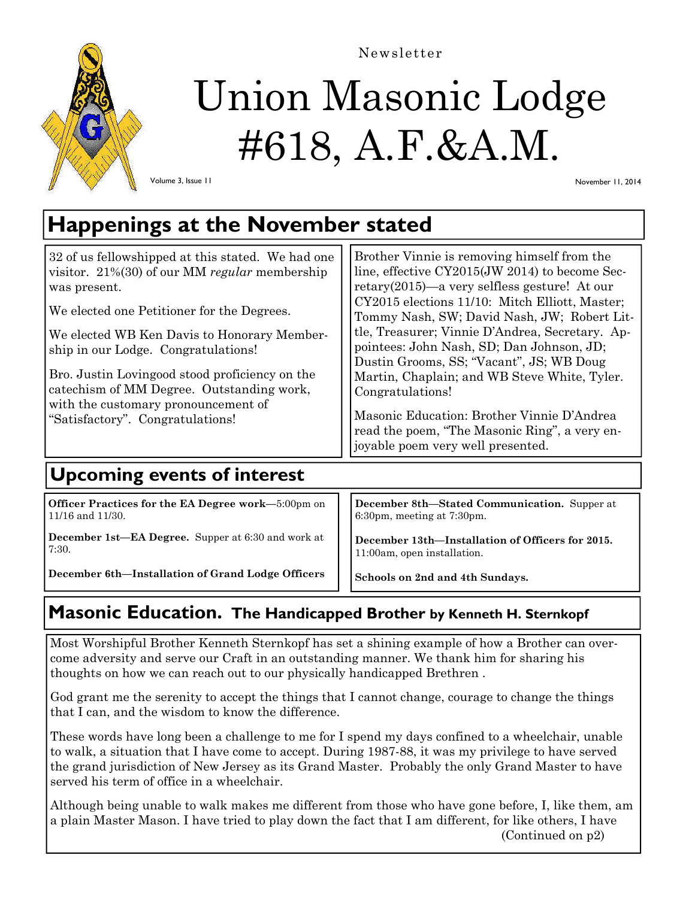

# Union Masonic Lodge #618, A.F.&A.M.

Newsletter

Volume 3, Issue 11

November 11, 2014

## **Happenings at the November stated**

| 32 of us fellowshipped at this stated. We had one<br>visitor. $21\%(30)$ of our MM regular membership<br>was present.<br>We elected one Petitioner for the Degrees.<br>We elected WB Ken Davis to Honorary Member-<br>ship in our Lodge. Congratulations!<br>Bro. Justin Lovingood stood proficiency on the<br>catechism of MM Degree. Outstanding work,<br>with the customary pronouncement of<br>"Satisfactory". Congratulations! | Brother Vinnie is removing himself from the<br>line, effective CY2015(JW 2014) to become Sec-<br>retary $(2015)$ —a very selfless gesture! At our<br>CY2015 elections 11/10: Mitch Elliott, Master;<br>Tommy Nash, SW; David Nash, JW; Robert Lit-<br>tle, Treasurer; Vinnie D'Andrea, Secretary. Ap-<br>pointees: John Nash, SD; Dan Johnson, JD;<br>Dustin Grooms, SS; "Vacant", JS; WB Doug<br>Martin, Chaplain; and WB Steve White, Tyler.<br>Congratulations!<br>Masonic Education: Brother Vinnie D'Andrea<br>read the poem, "The Masonic Ring", a very en-<br>joyable poem very well presented. |  |
|-------------------------------------------------------------------------------------------------------------------------------------------------------------------------------------------------------------------------------------------------------------------------------------------------------------------------------------------------------------------------------------------------------------------------------------|--------------------------------------------------------------------------------------------------------------------------------------------------------------------------------------------------------------------------------------------------------------------------------------------------------------------------------------------------------------------------------------------------------------------------------------------------------------------------------------------------------------------------------------------------------------------------------------------------------|--|
| <b>Upcoming events of interest</b>                                                                                                                                                                                                                                                                                                                                                                                                  |                                                                                                                                                                                                                                                                                                                                                                                                                                                                                                                                                                                                        |  |

**Officer Practices for the EA Degree work—**5:00pm on 11/16 and 11/30.

**December 1st—EA Degree.** Supper at 6:30 and work at 7:30.

**December 6th—Installation of Grand Lodge Officers** 

**December 8th—Stated Communication.** Supper at 6:30pm, meeting at 7:30pm.

**December 13th—Installation of Officers for 2015.**  11:00am, open installation.

**Schools on 2nd and 4th Sundays.** 

### **Masonic Education. The Handicapped Brother by Kenneth H. Sternkopf**

Most Worshipful Brother Kenneth Sternkopf has set a shining example of how a Brother can overcome adversity and serve our Craft in an outstanding manner. We thank him for sharing his thoughts on how we can reach out to our physically handicapped Brethren .

God grant me the serenity to accept the things that I cannot change, courage to change the things that I can, and the wisdom to know the difference.

These words have long been a challenge to me for I spend my days confined to a wheelchair, unable to walk, a situation that I have come to accept. During 1987-88, it was my privilege to have served the grand jurisdiction of New Jersey as its Grand Master. Probably the only Grand Master to have served his term of office in a wheelchair.

Although being unable to walk makes me different from those who have gone before, I, like them, am a plain Master Mason. I have tried to play down the fact that I am different, for like others, I have (Continued on p2)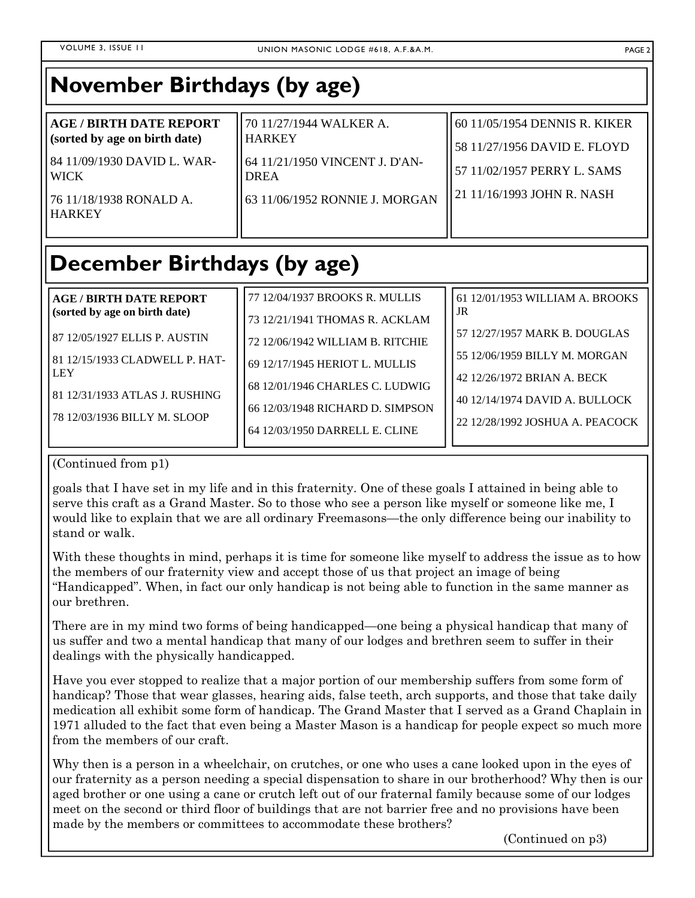| <b>November Birthdays (by age)</b>                                                                                                                        |                                                                                                                                         |                                                                                                                                   |
|-----------------------------------------------------------------------------------------------------------------------------------------------------------|-----------------------------------------------------------------------------------------------------------------------------------------|-----------------------------------------------------------------------------------------------------------------------------------|
| <b>AGE / BIRTH DATE REPORT</b><br>(sorted by age on birth date)<br>84 11/09/1930 DAVID L. WAR-<br><b>WICK</b><br>76 11/18/1938 RONALD A.<br><b>HARKEY</b> | 70 11/27/1944 WALKER A.<br><b>HARKEY</b><br>64 11/21/1950 VINCENT J. D'AN-<br><b>DREA</b><br>63 11/06/1952 RONNIE J. MORGAN             | 60 11/05/1954 DENNIS R. KIKER<br>58 11/27/1956 DAVID E. FLOYD<br>57 11/02/1957 PERRY L. SAMS<br>21 11/16/1993 JOHN R. NASH        |
| <b>December Birthdays (by age)</b>                                                                                                                        |                                                                                                                                         |                                                                                                                                   |
| <b>AGE/BIRTH DATE REPORT</b><br>(sorted by age on birth date)<br>87 12/05/1927 ELLIS P. AUSTIN                                                            | 77 12/04/1937 BROOKS R. MULLIS<br>73 12/21/1941 THOMAS R. ACKLAM<br>72 12/06/1942 WILLIAM B. RITCHIE                                    | 61 12/01/1953 WILLIAM A. BROOKS<br>JR<br>57 12/27/1957 MARK B. DOUGLAS                                                            |
| 81 12/15/1933 CLADWELL P. HAT-<br><b>LEY</b><br>81 12/31/1933 ATLAS J. RUSHING<br>78 12/03/1936 BILLY M. SLOOP                                            | 69 12/17/1945 HERIOT L. MULLIS<br>68 12/01/1946 CHARLES C. LUDWIG<br>66 12/03/1948 RICHARD D. SIMPSON<br>64 12/03/1950 DARRELL E. CLINE | 55 12/06/1959 BILLY M. MORGAN<br>42 12/26/1972 BRIAN A. BECK<br>40 12/14/1974 DAVID A. BULLOCK<br>22 12/28/1992 JOSHUA A. PEACOCK |

#### (Continued from p1)

goals that I have set in my life and in this fraternity. One of these goals I attained in being able to serve this craft as a Grand Master. So to those who see a person like myself or someone like me, I would like to explain that we are all ordinary Freemasons—the only difference being our inability to stand or walk.

With these thoughts in mind, perhaps it is time for someone like myself to address the issue as to how the members of our fraternity view and accept those of us that project an image of being "Handicapped". When, in fact our only handicap is not being able to function in the same manner as our brethren.

There are in my mind two forms of being handicapped—one being a physical handicap that many of us suffer and two a mental handicap that many of our lodges and brethren seem to suffer in their dealings with the physically handicapped.

Have you ever stopped to realize that a major portion of our membership suffers from some form of handicap? Those that wear glasses, hearing aids, false teeth, arch supports, and those that take daily medication all exhibit some form of handicap. The Grand Master that I served as a Grand Chaplain in 1971 alluded to the fact that even being a Master Mason is a handicap for people expect so much more from the members of our craft.

Why then is a person in a wheelchair, on crutches, or one who uses a cane looked upon in the eyes of our fraternity as a person needing a special dispensation to share in our brotherhood? Why then is our aged brother or one using a cane or crutch left out of our fraternal family because some of our lodges meet on the second or third floor of buildings that are not barrier free and no provisions have been made by the members or committees to accommodate these brothers?

(Continued on p3)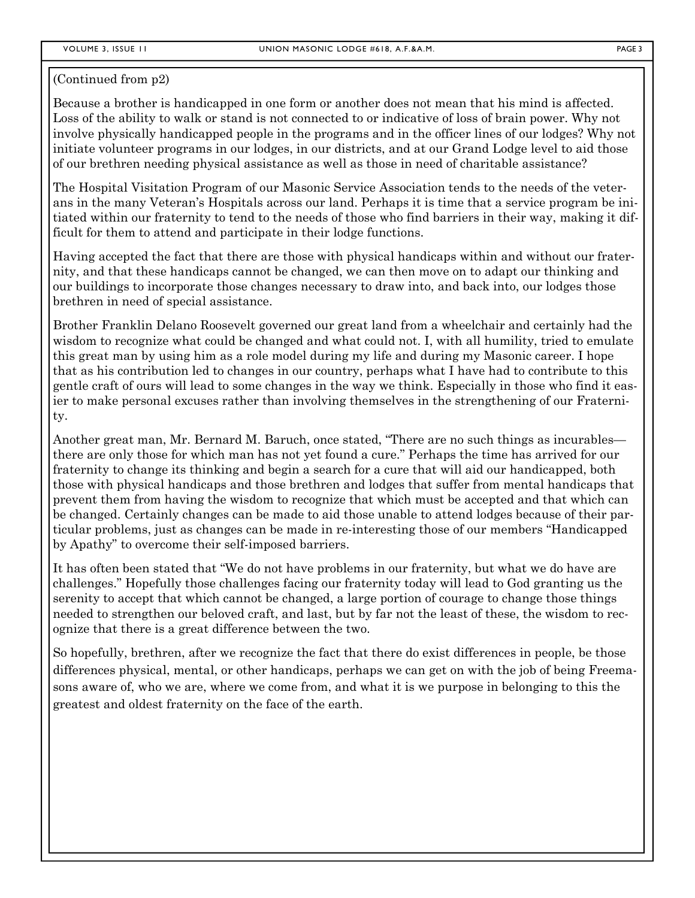#### (Continued from p2)

Because a brother is handicapped in one form or another does not mean that his mind is affected. Loss of the ability to walk or stand is not connected to or indicative of loss of brain power. Why not involve physically handicapped people in the programs and in the officer lines of our lodges? Why not initiate volunteer programs in our lodges, in our districts, and at our Grand Lodge level to aid those of our brethren needing physical assistance as well as those in need of charitable assistance?

The Hospital Visitation Program of our Masonic Service Association tends to the needs of the veterans in the many Veteran's Hospitals across our land. Perhaps it is time that a service program be initiated within our fraternity to tend to the needs of those who find barriers in their way, making it difficult for them to attend and participate in their lodge functions.

Having accepted the fact that there are those with physical handicaps within and without our fraternity, and that these handicaps cannot be changed, we can then move on to adapt our thinking and our buildings to incorporate those changes necessary to draw into, and back into, our lodges those brethren in need of special assistance.

Brother Franklin Delano Roosevelt governed our great land from a wheelchair and certainly had the wisdom to recognize what could be changed and what could not. I, with all humility, tried to emulate this great man by using him as a role model during my life and during my Masonic career. I hope that as his contribution led to changes in our country, perhaps what I have had to contribute to this gentle craft of ours will lead to some changes in the way we think. Especially in those who find it easier to make personal excuses rather than involving themselves in the strengthening of our Fraternity.

Another great man, Mr. Bernard M. Baruch, once stated, "There are no such things as incurables there are only those for which man has not yet found a cure." Perhaps the time has arrived for our fraternity to change its thinking and begin a search for a cure that will aid our handicapped, both those with physical handicaps and those brethren and lodges that suffer from mental handicaps that prevent them from having the wisdom to recognize that which must be accepted and that which can be changed. Certainly changes can be made to aid those unable to attend lodges because of their particular problems, just as changes can be made in re-interesting those of our members "Handicapped by Apathy" to overcome their self-imposed barriers.

It has often been stated that "We do not have problems in our fraternity, but what we do have are challenges." Hopefully those challenges facing our fraternity today will lead to God granting us the serenity to accept that which cannot be changed, a large portion of courage to change those things needed to strengthen our beloved craft, and last, but by far not the least of these, the wisdom to recognize that there is a great difference between the two.

So hopefully, brethren, after we recognize the fact that there do exist differences in people, be those differences physical, mental, or other handicaps, perhaps we can get on with the job of being Freemasons aware of, who we are, where we come from, and what it is we purpose in belonging to this the greatest and oldest fraternity on the face of the earth.